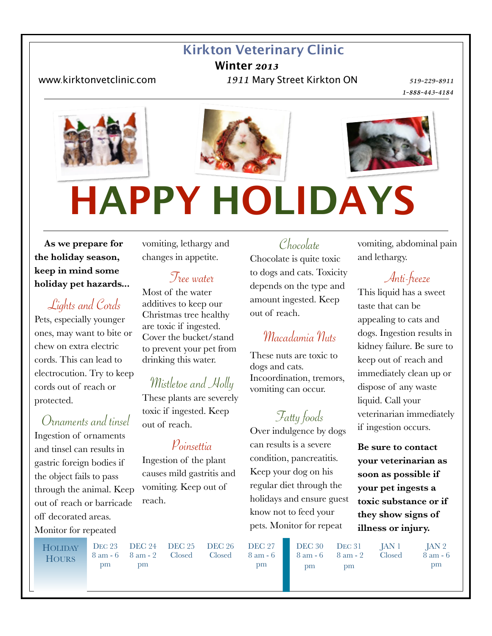#### **Kirkton Veterinary Clinic**

**Winter** *2013* 

www*.*[kirktonvetclinic](http://www.kirktonvetclinic.com)*.*com *1911* Mary Street Kirkton ON *519-229-8911* 

  *1-888-443-4184* 





# **HAPPY HOLIDAYS**

 **As we prepare for the holiday season, keep in mind some holiday pet hazards...**

Lights and Cords Pets, especially younger ones, may want to bite or chew on extra electric cords. This can lead to electrocution. Try to keep cords out of reach or protected.

 Ornaments and tinsel Ingestion of ornaments and tinsel can results in gastric foreign bodies if the object fails to pass through the animal. Keep out of reach or barricade off decorated areas. Monitor for repeated

vomiting, lethargy and changes in appetite.

#### Tree water

Most of the water additives to keep our Christmas tree healthy are toxic if ingested. Cover the bucket/stand to prevent your pet from drinking this water.

## Mistletoe and Holly

These plants are severely toxic if ingested. Keep out of reach.

#### Poinsettia

Ingestion of the plant causes mild gastritis and vomiting. Keep out of reach.

## **HOLIDAY**

**DEC 23** 8 am - 6 pm

DEC 24 DEC 25 Closed

Chocolate

Chocolate is quite toxic to dogs and cats. Toxicity depends on the type and amount ingested. Keep out of reach.

## Macadamia Nuts

These nuts are toxic to dogs and cats. Incoordination, tremors, vomiting can occur.

## Fatty foods

Over indulgence by dogs can results is a severe condition, pancreatitis. Keep your dog on his regular diet through the holidays and ensure guest know not to feed your pets. Monitor for repeat

vomiting, abdominal pain and lethargy.

Anti-freeze

This liquid has a sweet taste that can be appealing to cats and dogs. Ingestion results in kidney failure. Be sure to keep out of reach and immediately clean up or dispose of any waste liquid. Call your veterinarian immediately if ingestion occurs.

**Be sure to contact your veterinarian as soon as possible if your pet ingests a toxic substance or if they show signs of illness or injury.** 

**HOURS** 

8 am - 2 pm

DEC 26 Closed

DEC 27 8 am - 6 pm

**DEC 30** 8 am - 6 pm

DEC<sub>31</sub> 8 am - 2 pm

JAN 1 Closed

JAN 2 8 am - 6 pm